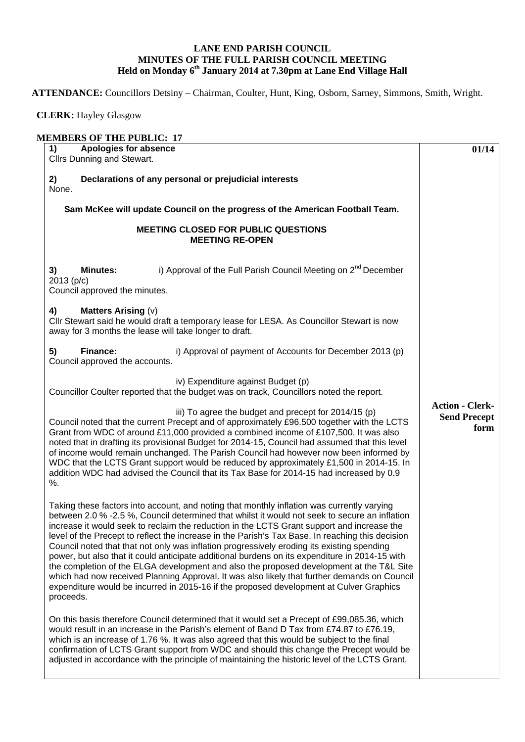## **LANE END PARISH COUNCIL MINUTES OF THE FULL PARISH COUNCIL MEETING Held on Monday 6th January 2014 at 7.30pm at Lane End Village Hall**

**ATTENDANCE:** Councillors Detsiny – Chairman, Coulter, Hunt, King, Osborn, Sarney, Simmons, Smith, Wright.

 **CLERK:** Hayley Glasgow

| Apologies for absence<br>1)<br>Cllrs Dunning and Stewart.                                                                                                                                                                                                                                                                                                                                                                                                                                                                                                                                                                                                                                                                                                                                                                                                                                         | 01/14                                                 |
|---------------------------------------------------------------------------------------------------------------------------------------------------------------------------------------------------------------------------------------------------------------------------------------------------------------------------------------------------------------------------------------------------------------------------------------------------------------------------------------------------------------------------------------------------------------------------------------------------------------------------------------------------------------------------------------------------------------------------------------------------------------------------------------------------------------------------------------------------------------------------------------------------|-------------------------------------------------------|
| 2)<br>Declarations of any personal or prejudicial interests<br>None.                                                                                                                                                                                                                                                                                                                                                                                                                                                                                                                                                                                                                                                                                                                                                                                                                              |                                                       |
| Sam McKee will update Council on the progress of the American Football Team.                                                                                                                                                                                                                                                                                                                                                                                                                                                                                                                                                                                                                                                                                                                                                                                                                      |                                                       |
| <b>MEETING CLOSED FOR PUBLIC QUESTIONS</b><br><b>MEETING RE-OPEN</b>                                                                                                                                                                                                                                                                                                                                                                                                                                                                                                                                                                                                                                                                                                                                                                                                                              |                                                       |
| i) Approval of the Full Parish Council Meeting on 2 <sup>nd</sup> December<br><b>Minutes:</b><br>3)<br>2013(p/c)<br>Council approved the minutes.                                                                                                                                                                                                                                                                                                                                                                                                                                                                                                                                                                                                                                                                                                                                                 |                                                       |
| <b>Matters Arising (v)</b><br>4)<br>Cllr Stewart said he would draft a temporary lease for LESA. As Councillor Stewart is now<br>away for 3 months the lease will take longer to draft.                                                                                                                                                                                                                                                                                                                                                                                                                                                                                                                                                                                                                                                                                                           |                                                       |
| <b>Finance:</b><br>i) Approval of payment of Accounts for December 2013 (p)<br>5)<br>Council approved the accounts.                                                                                                                                                                                                                                                                                                                                                                                                                                                                                                                                                                                                                                                                                                                                                                               |                                                       |
| iv) Expenditure against Budget (p)<br>Councillor Coulter reported that the budget was on track, Councillors noted the report.                                                                                                                                                                                                                                                                                                                                                                                                                                                                                                                                                                                                                                                                                                                                                                     |                                                       |
| iii) To agree the budget and precept for 2014/15 (p)<br>Council noted that the current Precept and of approximately £96.500 together with the LCTS<br>Grant from WDC of around £11,000 provided a combined income of £107,500. It was also<br>noted that in drafting its provisional Budget for 2014-15, Council had assumed that this level<br>of income would remain unchanged. The Parish Council had however now been informed by<br>WDC that the LCTS Grant support would be reduced by approximately £1,500 in 2014-15. In<br>addition WDC had advised the Council that its Tax Base for 2014-15 had increased by 0.9<br>%.                                                                                                                                                                                                                                                                 | <b>Action - Clerk-</b><br><b>Send Precept</b><br>form |
| Taking these factors into account, and noting that monthly inflation was currently varying<br>between 2.0 % -2.5 %, Council determined that whilst it would not seek to secure an inflation<br>increase it would seek to reclaim the reduction in the LCTS Grant support and increase the<br>level of the Precept to reflect the increase in the Parish's Tax Base. In reaching this decision<br>Council noted that that not only was inflation progressively eroding its existing spending<br>power, but also that it could anticipate additional burdens on its expenditure in 2014-15 with<br>the completion of the ELGA development and also the proposed development at the T&L Site<br>which had now received Planning Approval. It was also likely that further demands on Council<br>expenditure would be incurred in 2015-16 if the proposed development at Culver Graphics<br>proceeds. |                                                       |
| On this basis therefore Council determined that it would set a Precept of £99,085.36, which<br>would result in an increase in the Parish's element of Band D Tax from £74.87 to £76.19,<br>which is an increase of 1.76 %. It was also agreed that this would be subject to the final<br>confirmation of LCTS Grant support from WDC and should this change the Precept would be<br>adjusted in accordance with the principle of maintaining the historic level of the LCTS Grant.                                                                                                                                                                                                                                                                                                                                                                                                                |                                                       |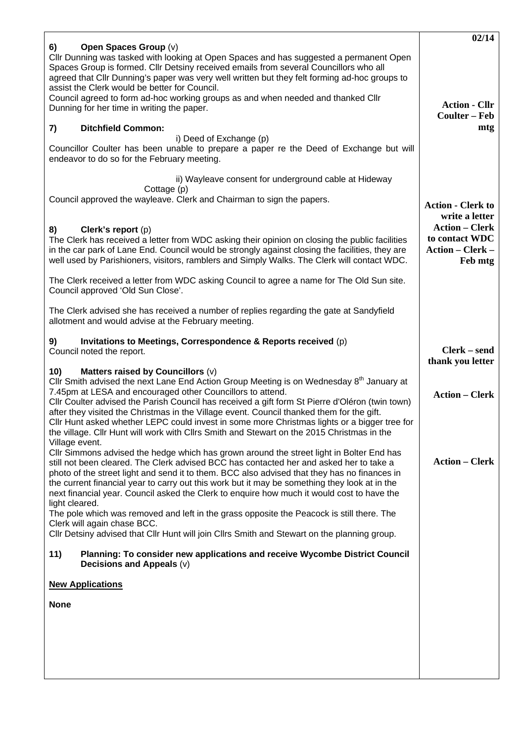|                                                                                                                                                                                                                                                                                                                                                                                                                                                                                                                                                                                                                                | 02/14                                         |
|--------------------------------------------------------------------------------------------------------------------------------------------------------------------------------------------------------------------------------------------------------------------------------------------------------------------------------------------------------------------------------------------------------------------------------------------------------------------------------------------------------------------------------------------------------------------------------------------------------------------------------|-----------------------------------------------|
| Open Spaces Group (v)<br>6)<br>Cllr Dunning was tasked with looking at Open Spaces and has suggested a permanent Open<br>Spaces Group is formed. Cllr Detsiny received emails from several Councillors who all<br>agreed that Cllr Dunning's paper was very well written but they felt forming ad-hoc groups to<br>assist the Clerk would be better for Council.<br>Council agreed to form ad-hoc working groups as and when needed and thanked Cllr                                                                                                                                                                           | <b>Action - Cllr</b>                          |
| Dunning for her time in writing the paper.                                                                                                                                                                                                                                                                                                                                                                                                                                                                                                                                                                                     | <b>Coulter – Feb</b>                          |
| <b>Ditchfield Common:</b><br>7)                                                                                                                                                                                                                                                                                                                                                                                                                                                                                                                                                                                                | mtg                                           |
| i) Deed of Exchange (p)<br>Councillor Coulter has been unable to prepare a paper re the Deed of Exchange but will<br>endeavor to do so for the February meeting.                                                                                                                                                                                                                                                                                                                                                                                                                                                               |                                               |
| ii) Wayleave consent for underground cable at Hideway                                                                                                                                                                                                                                                                                                                                                                                                                                                                                                                                                                          |                                               |
| Cottage (p)<br>Council approved the wayleave. Clerk and Chairman to sign the papers.                                                                                                                                                                                                                                                                                                                                                                                                                                                                                                                                           | <b>Action - Clerk to</b>                      |
| Clerk's report (p)                                                                                                                                                                                                                                                                                                                                                                                                                                                                                                                                                                                                             | write a letter<br><b>Action – Clerk</b>       |
| 8)<br>The Clerk has received a letter from WDC asking their opinion on closing the public facilities<br>in the car park of Lane End. Council would be strongly against closing the facilities, they are<br>well used by Parishioners, visitors, ramblers and Simply Walks. The Clerk will contact WDC.                                                                                                                                                                                                                                                                                                                         | to contact WDC<br>Action – Clerk –<br>Feb mtg |
| The Clerk received a letter from WDC asking Council to agree a name for The Old Sun site.<br>Council approved 'Old Sun Close'.                                                                                                                                                                                                                                                                                                                                                                                                                                                                                                 |                                               |
| The Clerk advised she has received a number of replies regarding the gate at Sandyfield<br>allotment and would advise at the February meeting.                                                                                                                                                                                                                                                                                                                                                                                                                                                                                 |                                               |
| Invitations to Meetings, Correspondence & Reports received (p)<br>9)<br>Council noted the report.                                                                                                                                                                                                                                                                                                                                                                                                                                                                                                                              | Clerk – send<br>thank you letter              |
| 10)<br>Matters raised by Councillors (v)<br>Cllr Smith advised the next Lane End Action Group Meeting is on Wednesday 8 <sup>th</sup> January at<br>7.45pm at LESA and encouraged other Councillors to attend.<br>Cllr Coulter advised the Parish Council has received a gift form St Pierre d'Oléron (twin town)<br>after they visited the Christmas in the Village event. Council thanked them for the gift.<br>CIIr Hunt asked whether LEPC could invest in some more Christmas lights or a bigger tree for<br>the village. Cllr Hunt will work with Cllrs Smith and Stewart on the 2015 Christmas in the<br>Village event. | <b>Action – Clerk</b>                         |
| CIIr Simmons advised the hedge which has grown around the street light in Bolter End has<br>still not been cleared. The Clerk advised BCC has contacted her and asked her to take a<br>photo of the street light and send it to them. BCC also advised that they has no finances in<br>the current financial year to carry out this work but it may be something they look at in the<br>next financial year. Council asked the Clerk to enquire how much it would cost to have the<br>light cleared.<br>The pole which was removed and left in the grass opposite the Peacock is still there. The                              | <b>Action – Clerk</b>                         |
| Clerk will again chase BCC.<br>CIIr Detsiny advised that CIIr Hunt will join CIIrs Smith and Stewart on the planning group.                                                                                                                                                                                                                                                                                                                                                                                                                                                                                                    |                                               |
| 11)<br>Planning: To consider new applications and receive Wycombe District Council<br>Decisions and Appeals (v)                                                                                                                                                                                                                                                                                                                                                                                                                                                                                                                |                                               |
| <b>New Applications</b>                                                                                                                                                                                                                                                                                                                                                                                                                                                                                                                                                                                                        |                                               |
| <b>None</b>                                                                                                                                                                                                                                                                                                                                                                                                                                                                                                                                                                                                                    |                                               |
|                                                                                                                                                                                                                                                                                                                                                                                                                                                                                                                                                                                                                                |                                               |
|                                                                                                                                                                                                                                                                                                                                                                                                                                                                                                                                                                                                                                |                                               |
|                                                                                                                                                                                                                                                                                                                                                                                                                                                                                                                                                                                                                                |                                               |
|                                                                                                                                                                                                                                                                                                                                                                                                                                                                                                                                                                                                                                |                                               |